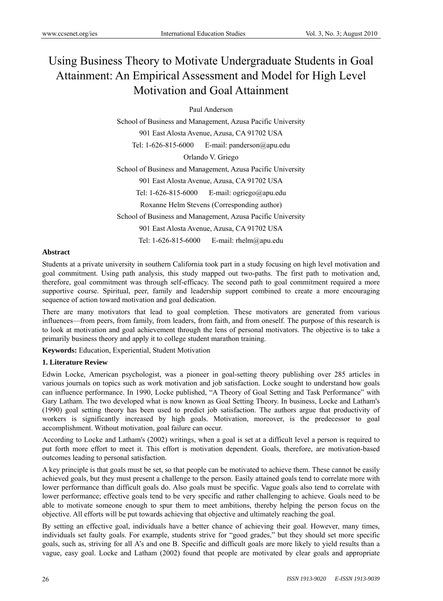# Using Business Theory to Motivate Undergraduate Students in Goal Attainment: An Empirical Assessment and Model for High Level Motivation and Goal Attainment

Paul Anderson

School of Business and Management, Azusa Pacific University 901 East Alosta Avenue, Azusa, CA 91702 USA Tel: 1-626-815-6000 E-mail: panderson@apu.edu Orlando V. Griego School of Business and Management, Azusa Pacific University 901 East Alosta Avenue, Azusa, CA 91702 USA Tel: 1-626-815-6000 E-mail: ogriego@apu.edu Roxanne Helm Stevens (Corresponding author) School of Business and Management, Azusa Pacific University 901 East Alosta Avenue, Azusa, CA 91702 USA Tel: 1-626-815-6000 E-mail: rhelm@apu.edu

#### **Abstract**

Students at a private university in southern California took part in a study focusing on high level motivation and goal commitment. Using path analysis, this study mapped out two-paths. The first path to motivation and, therefore, goal commitment was through self-efficacy. The second path to goal commitment required a more supportive course. Spiritual, peer, family and leadership support combined to create a more encouraging sequence of action toward motivation and goal dedication.

There are many motivators that lead to goal completion. These motivators are generated from various influences—from peers, from family, from leaders, from faith, and from oneself. The purpose of this research is to look at motivation and goal achievement through the lens of personal motivators. The objective is to take a primarily business theory and apply it to college student marathon training.

**Keywords:** Education, Experiential, Student Motivation

# **1. Literature Review**

Edwin Locke, American psychologist, was a pioneer in goal-setting theory publishing over 285 articles in various journals on topics such as work motivation and job satisfaction. Locke sought to understand how goals can influence performance. In 1990, Locke published, "A Theory of Goal Setting and Task Performance" with Gary Latham. The two developed what is now known as Goal Setting Theory. In business, Locke and Latham's (1990) goal setting theory has been used to predict job satisfaction. The authors argue that productivity of workers is significantly increased by high goals. Motivation, moreover, is the predecessor to goal accomplishment. Without motivation, goal failure can occur.

According to Locke and Latham's (2002) writings, when a goal is set at a difficult level a person is required to put forth more effort to meet it. This effort is motivation dependent. Goals, therefore, are motivation-based outcomes leading to personal satisfaction.

A key principle is that goals must be set, so that people can be motivated to achieve them. These cannot be easily achieved goals, but they must present a challenge to the person. Easily attained goals tend to correlate more with lower performance than difficult goals do. Also goals must be specific. Vague goals also tend to correlate with lower performance; effective goals tend to be very specific and rather challenging to achieve. Goals need to be able to motivate someone enough to spur them to meet ambitions, thereby helping the person focus on the objective. All efforts will be put towards achieving that objective and ultimately reaching the goal.

By setting an effective goal, individuals have a better chance of achieving their goal. However, many times, individuals set faulty goals. For example, students strive for "good grades," but they should set more specific goals, such as, striving for all A's and one B. Specific and difficult goals are more likely to yield results than a vague, easy goal. Locke and Latham (2002) found that people are motivated by clear goals and appropriate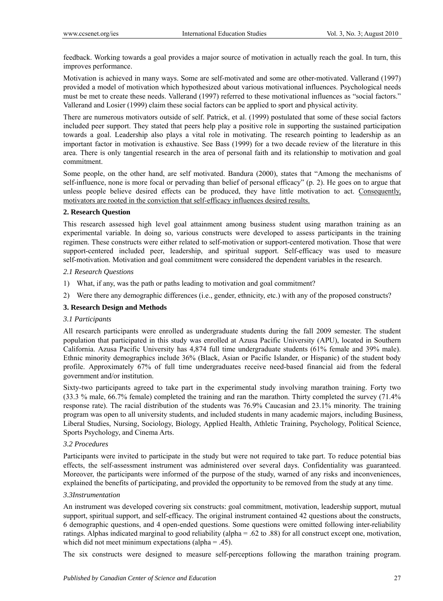feedback. Working towards a goal provides a major source of motivation in actually reach the goal. In turn, this improves performance.

Motivation is achieved in many ways. Some are self-motivated and some are other-motivated. Vallerand (1997) provided a model of motivation which hypothesized about various motivational influences. Psychological needs must be met to create these needs. Vallerand (1997) referred to these motivational influences as "social factors." Vallerand and Losier (1999) claim these social factors can be applied to sport and physical activity.

There are numerous motivators outside of self. Patrick, et al. (1999) postulated that some of these social factors included peer support. They stated that peers help play a positive role in supporting the sustained participation towards a goal. Leadership also plays a vital role in motivating. The research pointing to leadership as an important factor in motivation is exhaustive. See Bass (1999) for a two decade review of the literature in this area. There is only tangential research in the area of personal faith and its relationship to motivation and goal commitment.

Some people, on the other hand, are self motivated. Bandura (2000), states that "Among the mechanisms of self-influence, none is more focal or pervading than belief of personal efficacy" (p. 2). He goes on to argue that unless people believe desired effects can be produced, they have little motivation to act. Consequently, motivators are rooted in the conviction that self-efficacy influences desired results.

#### **2. Research Question**

This research assessed high level goal attainment among business student using marathon training as an experimental variable. In doing so, various constructs were developed to assess participants in the training regimen. These constructs were either related to self-motivation or support-centered motivation. Those that were support-centered included peer, leadership, and spiritual support. Self-efficacy was used to measure self-motivation. Motivation and goal commitment were considered the dependent variables in the research.

#### *2.1 Research Questions*

- 1) What, if any, was the path or paths leading to motivation and goal commitment?
- 2) Were there any demographic differences (i.e., gender, ethnicity, etc.) with any of the proposed constructs?

#### **3. Research Design and Methods**

#### *3.1 Participants*

All research participants were enrolled as undergraduate students during the fall 2009 semester. The student population that participated in this study was enrolled at Azusa Pacific University (APU), located in Southern California. Azusa Pacific University has 4,874 full time undergraduate students (61% female and 39% male). Ethnic minority demographics include 36% (Black, Asian or Pacific Islander, or Hispanic) of the student body profile. Approximately 67% of full time undergraduates receive need-based financial aid from the federal government and/or institution.

Sixty-two participants agreed to take part in the experimental study involving marathon training. Forty two (33.3 % male, 66.7% female) completed the training and ran the marathon. Thirty completed the survey (71.4% response rate). The racial distribution of the students was 76.9% Caucasian and 23.1% minority. The training program was open to all university students, and included students in many academic majors, including Business, Liberal Studies, Nursing, Sociology, Biology, Applied Health, Athletic Training, Psychology, Political Science, Sports Psychology, and Cinema Arts.

#### *3.2 Procedures*

Participants were invited to participate in the study but were not required to take part. To reduce potential bias effects, the self-assessment instrument was administered over several days. Confidentiality was guaranteed. Moreover, the participants were informed of the purpose of the study, warned of any risks and inconveniences, explained the benefits of participating, and provided the opportunity to be removed from the study at any time.

#### *3.3Instrumentation*

An instrument was developed covering six constructs: goal commitment, motivation, leadership support, mutual support, spiritual support, and self-efficacy. The original instrument contained 42 questions about the constructs, 6 demographic questions, and 4 open-ended questions. Some questions were omitted following inter-reliability ratings. Alphas indicated marginal to good reliability (alpha = .62 to .88) for all construct except one, motivation, which did not meet minimum expectations (alpha = .45).

The six constructs were designed to measure self-perceptions following the marathon training program.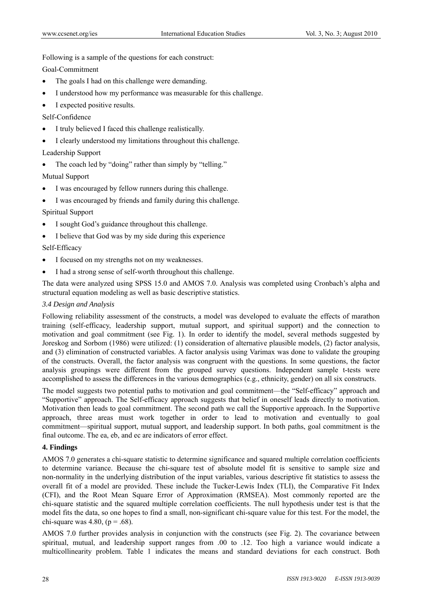Following is a sample of the questions for each construct:

Goal-Commitment

- The goals I had on this challenge were demanding.
- I understood how my performance was measurable for this challenge.
- I expected positive results.

Self-Confidence

- I truly believed I faced this challenge realistically.
- I clearly understood my limitations throughout this challenge.

# Leadership Support

• The coach led by "doing" rather than simply by "telling."

Mutual Support

- I was encouraged by fellow runners during this challenge.
- I was encouraged by friends and family during this challenge.

Spiritual Support

- I sought God's guidance throughout this challenge.
- I believe that God was by my side during this experience

# Self-Efficacy

- I focused on my strengths not on my weaknesses.
- I had a strong sense of self-worth throughout this challenge.

The data were analyzed using SPSS 15.0 and AMOS 7.0. Analysis was completed using Cronbach's alpha and structural equation modeling as well as basic descriptive statistics.

# *3.4 Design and Analysis*

Following reliability assessment of the constructs, a model was developed to evaluate the effects of marathon training (self-efficacy, leadership support, mutual support, and spiritual support) and the connection to motivation and goal commitment (see Fig. 1). In order to identify the model, several methods suggested by Joreskog and Sorbom (1986) were utilized: (1) consideration of alternative plausible models, (2) factor analysis, and (3) elimination of constructed variables. A factor analysis using Varimax was done to validate the grouping of the constructs. Overall, the factor analysis was congruent with the questions. In some questions, the factor analysis groupings were different from the grouped survey questions. Independent sample t-tests were accomplished to assess the differences in the various demographics (e.g., ethnicity, gender) on all six constructs.

The model suggests two potential paths to motivation and goal commitment—the "Self-efficacy" approach and "Supportive" approach. The Self-efficacy approach suggests that belief in oneself leads directly to motivation. Motivation then leads to goal commitment. The second path we call the Supportive approach. In the Supportive approach, three areas must work together in order to lead to motivation and eventually to goal commitment—spiritual support, mutual support, and leadership support. In both paths, goal commitment is the final outcome. The ea, eb, and ec are indicators of error effect.

# **4. Findings**

AMOS 7.0 generates a chi-square statistic to determine significance and squared multiple correlation coefficients to determine variance. Because the chi-square test of absolute model fit is sensitive to sample size and non-normality in the underlying distribution of the input variables, various descriptive fit statistics to assess the overall fit of a model are provided. These include the Tucker-Lewis Index (TLI), the Comparative Fit Index (CFI), and the Root Mean Square Error of Approximation (RMSEA). Most commonly reported are the chi-square statistic and the squared multiple correlation coefficients. The null hypothesis under test is that the model fits the data, so one hopes to find a small, non-significant chi-square value for this test. For the model, the chi-square was 4.80,  $(p = .68)$ .

AMOS 7.0 further provides analysis in conjunction with the constructs (see Fig. 2). The covariance between spiritual, mutual, and leadership support ranges from .00 to .12. Too high a variance would indicate a multicollinearity problem. Table 1 indicates the means and standard deviations for each construct. Both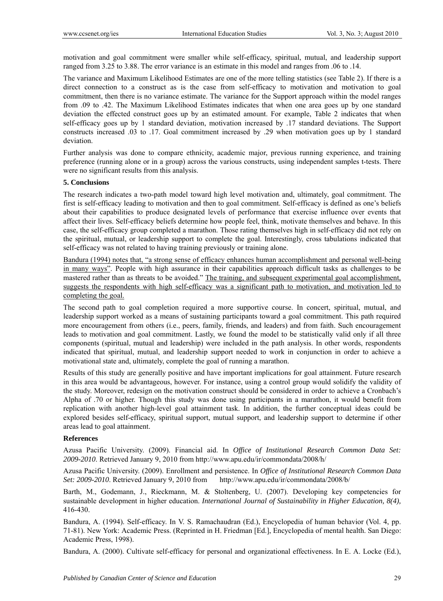motivation and goal commitment were smaller while self-efficacy, spiritual, mutual, and leadership support ranged from 3.25 to 3.88. The error variance is an estimate in this model and ranges from .06 to .14.

The variance and Maximum Likelihood Estimates are one of the more telling statistics (see Table 2). If there is a direct connection to a construct as is the case from self-efficacy to motivation and motivation to goal commitment, then there is no variance estimate. The variance for the Support approach within the model ranges from .09 to .42. The Maximum Likelihood Estimates indicates that when one area goes up by one standard deviation the effected construct goes up by an estimated amount. For example, Table 2 indicates that when self-efficacy goes up by 1 standard deviation, motivation increased by .17 standard deviations. The Support constructs increased .03 to .17. Goal commitment increased by .29 when motivation goes up by 1 standard deviation.

Further analysis was done to compare ethnicity, academic major, previous running experience, and training preference (running alone or in a group) across the various constructs, using independent samples t-tests. There were no significant results from this analysis.

#### **5. Conclusions**

The research indicates a two-path model toward high level motivation and, ultimately, goal commitment. The first is self-efficacy leading to motivation and then to goal commitment. Self-efficacy is defined as one's beliefs about their capabilities to produce designated levels of performance that exercise influence over events that affect their lives. Self-efficacy beliefs determine how people feel, think, motivate themselves and behave. In this case, the self-efficacy group completed a marathon. Those rating themselves high in self-efficacy did not rely on the spiritual, mutual, or leadership support to complete the goal. Interestingly, cross tabulations indicated that self-efficacy was not related to having training previously or training alone.

Bandura (1994) notes that, "a strong sense of efficacy enhances human accomplishment and personal well-being in many ways". People with high assurance in their capabilities approach difficult tasks as challenges to be mastered rather than as threats to be avoided." The training, and subsequent experimental goal accomplishment, suggests the respondents with high self-efficacy was a significant path to motivation, and motivation led to completing the goal.

The second path to goal completion required a more supportive course. In concert, spiritual, mutual, and leadership support worked as a means of sustaining participants toward a goal commitment. This path required more encouragement from others (i.e., peers, family, friends, and leaders) and from faith. Such encouragement leads to motivation and goal commitment. Lastly, we found the model to be statistically valid only if all three components (spiritual, mutual and leadership) were included in the path analysis. In other words, respondents indicated that spiritual, mutual, and leadership support needed to work in conjunction in order to achieve a motivational state and, ultimately, complete the goal of running a marathon.

Results of this study are generally positive and have important implications for goal attainment. Future research in this area would be advantageous, however. For instance, using a control group would solidify the validity of the study. Moreover, redesign on the motivation construct should be considered in order to achieve a Cronbach's Alpha of .70 or higher. Though this study was done using participants in a marathon, it would benefit from replication with another high-level goal attainment task. In addition, the further conceptual ideas could be explored besides self-efficacy, spiritual support, mutual support, and leadership support to determine if other areas lead to goal attainment.

#### **References**

Azusa Pacific University. (2009). Financial aid. In *Office of Institutional Research Common Data Set: 2009-2010*. Retrieved January 9, 2010 from http://www.apu.edu/ir/commondata/2008/h/

Azusa Pacific University. (2009). Enrollment and persistence. In *Office of Institutional Research Common Data Set: 2009-2010*. Retrieved January 9, 2010 from http://www.apu.edu/ir/commondata/2008/b/

Barth, M., Godemann, J., Rieckmann, M. & Stoltenberg, U. (2007). Developing key competencies for sustainable development in higher education. *International Journal of Sustainability in Higher Education, 8(4),* 416-430.

Bandura, A. (1994). Self-efficacy. In V. S. Ramachaudran (Ed.), Encyclopedia of human behavior (Vol. 4, pp. 71-81). New York: Academic Press. (Reprinted in H. Friedman [Ed.], Encyclopedia of mental health. San Diego: Academic Press, 1998).

Bandura, A. (2000). Cultivate self-efficacy for personal and organizational effectiveness. In E. A. Locke (Ed.),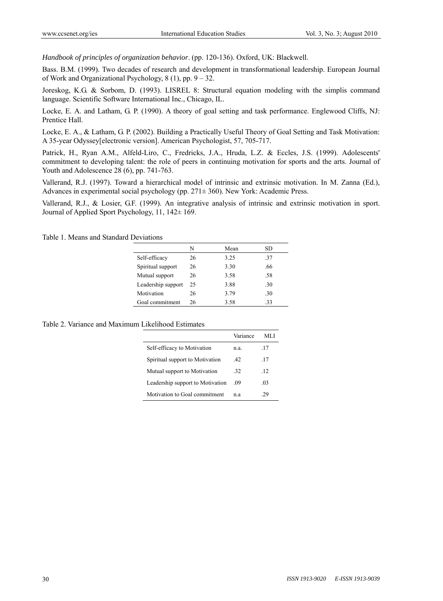*Handbook of principles of organization behavior*. (pp. 120-136). Oxford, UK: Blackwell.

Bass. B.M. (1999). Two decades of research and development in transformational leadership. European Journal of Work and Organizational Psychology, 8 (1), pp. 9 – 32.

Joreskog, K.G. & Sorbom, D. (1993). LISREL 8: Structural equation modeling with the simplis command language. Scientific Software International Inc., Chicago, IL.

Locke, E. A. and Latham, G. P. (1990). A theory of goal setting and task performance. Englewood Cliffs, NJ: Prentice Hall.

Locke, E. A., & Latham, G. P. (2002). Building a Practically Useful Theory of Goal Setting and Task Motivation: A 35-year Odyssey[electronic version]. American Psychologist, 57, 705-717.

Patrick, H., Ryan A.M., Alfeld-Liro, C., Fredricks, J.A., Hruda, L.Z. & Eccles, J.S. (1999). Adolescents' commitment to developing talent: the role of peers in continuing motivation for sports and the arts. Journal of Youth and Adolescence 28 (6), pp. 741-763.

Vallerand, R.J. (1997). Toward a hierarchical model of intrinsic and extrinsic motivation. In M. Zanna (Ed.), Advances in experimental social psychology (pp. 271± 360). New York: Academic Press.

Vallerand, R.J., & Losier, G.F. (1999). An integrative analysis of intrinsic and extrinsic motivation in sport. Journal of Applied Sport Psychology, 11, 142± 169.

|                    | N  | Mean | SD  |
|--------------------|----|------|-----|
| Self-efficacy      | 26 | 3.25 | .37 |
| Spiritual support  | 26 | 3.30 | .66 |
| Mutual support     | 26 | 3.58 | .58 |
| Leadership support | 25 | 3.88 | .30 |
| Motivation         | 26 | 3.79 | .30 |
| Goal commitment    | 26 | 3.58 | -33 |

Table 1. Means and Standard Deviations

Table 2. Variance and Maximum Likelihood Estimates

|                                  | Variance | ML J            |
|----------------------------------|----------|-----------------|
| Self-efficacy to Motivation      | n.a.     | .17             |
| Spiritual support to Motivation  | .42      | .17             |
| Mutual support to Motivation     | -32      | $\overline{12}$ |
| Leadership support to Motivation | .09      | .03             |
| Motivation to Goal commitment    | nа       | 29              |